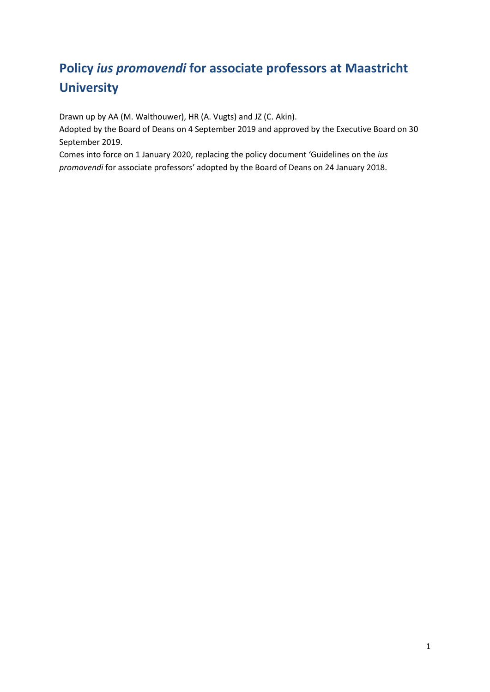# **Policy** *ius promovendi* **for associate professors at Maastricht University**

Drawn up by AA (M. Walthouwer), HR (A. Vugts) and JZ (C. Akin).

Adopted by the Board of Deans on 4 September 2019 and approved by the Executive Board on 30 September 2019.

Comes into force on 1 January 2020, replacing the policy document 'Guidelines on the *ius promovendi* for associate professors' adopted by the Board of Deans on 24 January 2018.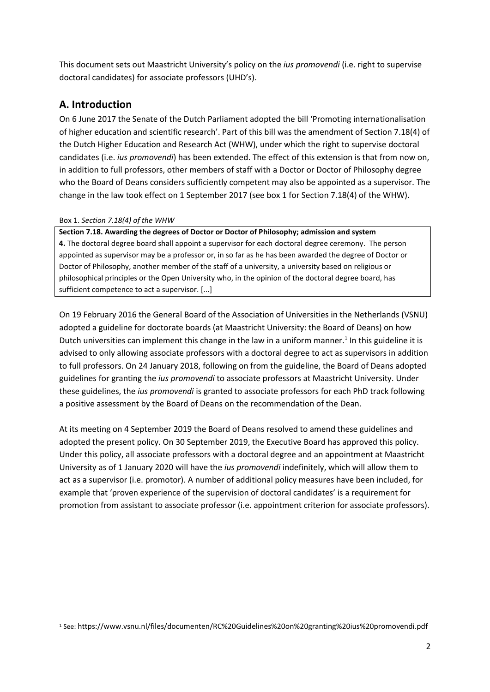This document sets out Maastricht University's policy on the *ius promovendi* (i.e. right to supervise doctoral candidates) for associate professors (UHD's).

## **A. Introduction**

On 6 June 2017 the Senate of the Dutch Parliament adopted the bill 'Promoting internationalisation of higher education and scientific research'. Part of this bill was the amendment of Section 7.18(4) of the Dutch Higher Education and Research Act (WHW), under which the right to supervise doctoral candidates (i.e. *ius promovendi*) has been extended. The effect of this extension is that from now on, in addition to full professors, other members of staff with a Doctor or Doctor of Philosophy degree who the Board of Deans considers sufficiently competent may also be appointed as a supervisor. The change in the law took effect on 1 September 2017 (see box 1 for Section 7.18(4) of the WHW).

#### Box 1. *Section 7.18(4) of the WHW*

1

**Section 7.18. Awarding the degrees of Doctor or Doctor of Philosophy; admission and system 4.** The doctoral degree board shall appoint a supervisor for each doctoral degree ceremony. The person appointed as supervisor may be a professor or, in so far as he has been awarded the degree of Doctor or Doctor of Philosophy, another member of the staff of a university, a university based on religious or philosophical principles or the Open University who, in the opinion of the doctoral degree board, has sufficient competence to act a supervisor. [...]

On 19 February 2016 the General Board of the Association of Universities in the Netherlands (VSNU) adopted a guideline for doctorate boards (at Maastricht University: the Board of Deans) on how Dutch universities can implement this change in the law in a uniform manner.<sup>1</sup> In this guideline it is advised to only allowing associate professors with a doctoral degree to act as supervisors in addition to full professors. On 24 January 2018, following on from the guideline, the Board of Deans adopted guidelines for granting the *ius promovendi* to associate professors at Maastricht University. Under these guidelines, the *ius promovendi* is granted to associate professors for each PhD track following a positive assessment by the Board of Deans on the recommendation of the Dean.

At its meeting on 4 September 2019 the Board of Deans resolved to amend these guidelines and adopted the present policy. On 30 September 2019, the Executive Board has approved this policy. Under this policy, all associate professors with a doctoral degree and an appointment at Maastricht University as of 1 January 2020 will have the *ius promovendi* indefinitely, which will allow them to act as a supervisor (i.e. promotor). A number of additional policy measures have been included, for example that 'proven experience of the supervision of doctoral candidates' is a requirement for promotion from assistant to associate professor (i.e. appointment criterion for associate professors).

<sup>1</sup> See: https://www.vsnu.nl/files/documenten/RC%20Guidelines%20on%20granting%20ius%20promovendi.pdf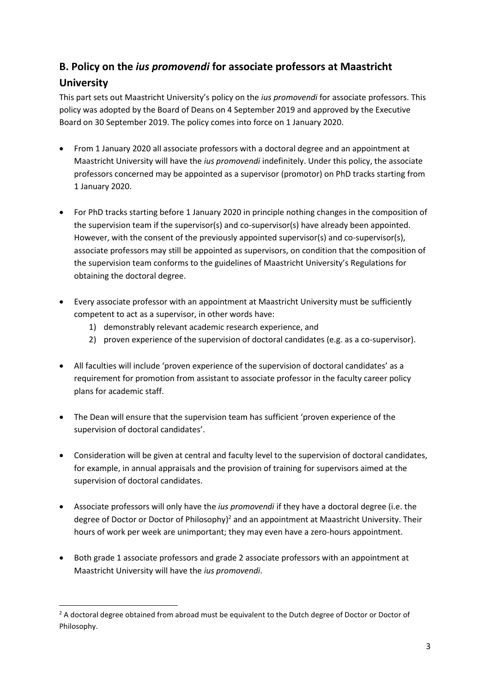# **B. Policy on the** *ius promovendi* **for associate professors at Maastricht University**

This part sets out Maastricht University's policy on the *ius promovendi* for associate professors. This policy was adopted by the Board of Deans on 4 September 2019 and approved by the Executive Board on 30 September 2019. The policy comes into force on 1 January 2020.

- From 1 January 2020 all associate professors with a doctoral degree and an appointment at Maastricht University will have the *ius promovendi* indefinitely. Under this policy, the associate professors concerned may be appointed as a supervisor (promotor) on PhD tracks starting from 1 January 2020.
- For PhD tracks starting before 1 January 2020 in principle nothing changes in the composition of the supervision team if the supervisor(s) and co-supervisor(s) have already been appointed. However, with the consent of the previously appointed supervisor(s) and co-supervisor(s), associate professors may still be appointed as supervisors, on condition that the composition of the supervision team conforms to the guidelines of Maastricht University's Regulations for obtaining the doctoral degree.
- Every associate professor with an appointment at Maastricht University must be sufficiently competent to act as a supervisor, in other words have:
	- 1) demonstrably relevant academic research experience, and
	- 2) proven experience of the supervision of doctoral candidates (e.g. as a co-supervisor).
- All faculties will include 'proven experience of the supervision of doctoral candidates' as a requirement for promotion from assistant to associate professor in the faculty career policy plans for academic staff.
- The Dean will ensure that the supervision team has sufficient 'proven experience of the supervision of doctoral candidates'.
- Consideration will be given at central and faculty level to the supervision of doctoral candidates, for example, in annual appraisals and the provision of training for supervisors aimed at the supervision of doctoral candidates.
- Associate professors will only have the *ius promovendi* if they have a doctoral degree (i.e. the degree of Doctor or Doctor of Philosophy)<sup>2</sup> and an appointment at Maastricht University. Their hours of work per week are unimportant; they may even have a zero-hours appointment.
- Both grade 1 associate professors and grade 2 associate professors with an appointment at Maastricht University will have the *ius promovendi*.

**.** 

<sup>&</sup>lt;sup>2</sup> A doctoral degree obtained from abroad must be equivalent to the Dutch degree of Doctor or Doctor of Philosophy.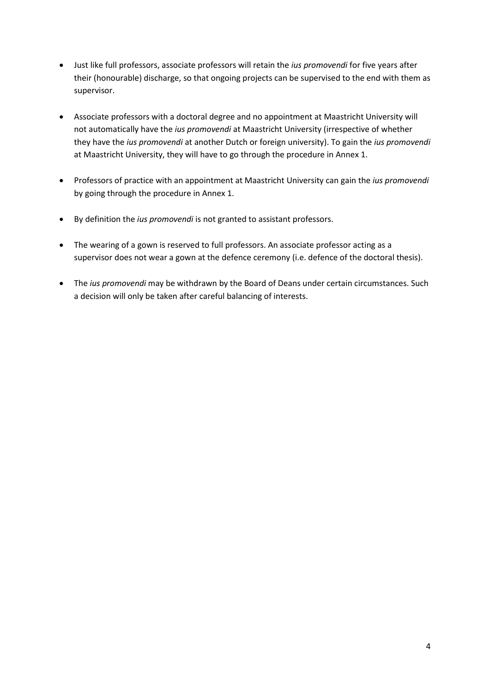- Just like full professors, associate professors will retain the *ius promovendi* for five years after their (honourable) discharge, so that ongoing projects can be supervised to the end with them as supervisor.
- Associate professors with a doctoral degree and no appointment at Maastricht University will not automatically have the *ius promovendi* at Maastricht University (irrespective of whether they have the *ius promovendi* at another Dutch or foreign university). To gain the *ius promovendi* at Maastricht University, they will have to go through the procedure in Annex 1.
- Professors of practice with an appointment at Maastricht University can gain the *ius promovendi* by going through the procedure in Annex 1.
- By definition the *ius promovendi* is not granted to assistant professors.
- The wearing of a gown is reserved to full professors. An associate professor acting as a supervisor does not wear a gown at the defence ceremony (i.e. defence of the doctoral thesis).
- The *ius promovendi* may be withdrawn by the Board of Deans under certain circumstances. Such a decision will only be taken after careful balancing of interests.